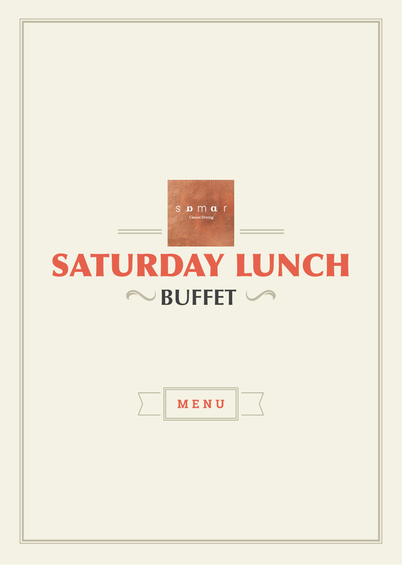

# SATURDAY LUNCH **NO BUFFET**

**MENU**